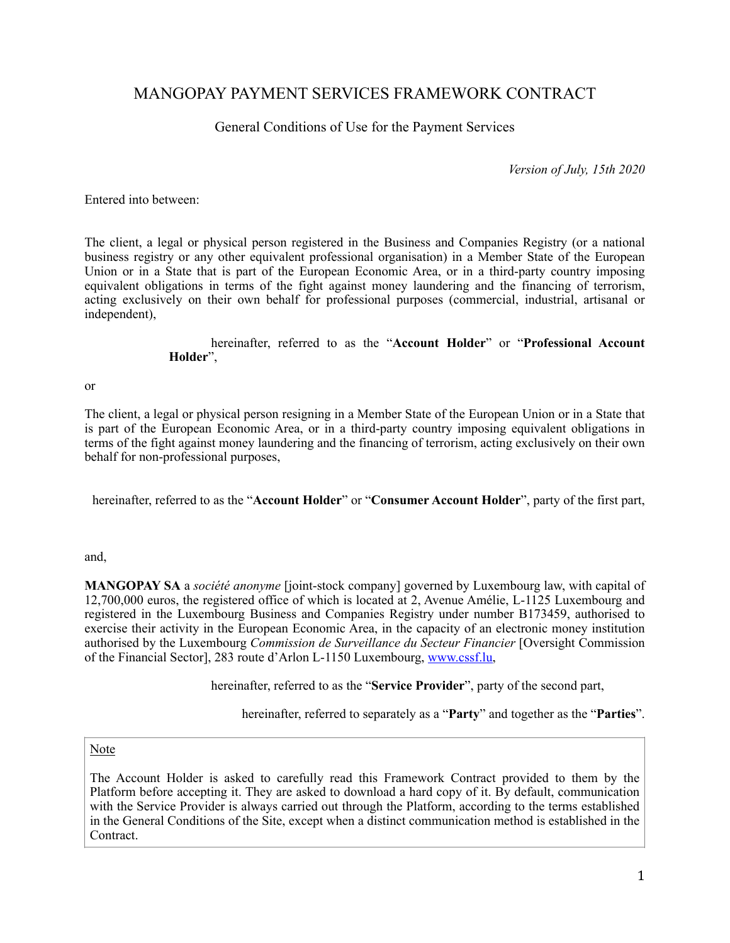# MANGOPAY PAYMENT SERVICES FRAMEWORK CONTRACT

General Conditions of Use for the Payment Services

*Version of July, 15th 2020* 

Entered into between:

The client, a legal or physical person registered in the Business and Companies Registry (or a national business registry or any other equivalent professional organisation) in a Member State of the European Union or in a State that is part of the European Economic Area, or in a third-party country imposing equivalent obligations in terms of the fight against money laundering and the financing of terrorism, acting exclusively on their own behalf for professional purposes (commercial, industrial, artisanal or independent),

### hereinafter, referred to as the "**Account Holder**" or "**Professional Account Holder**",

or

The client, a legal or physical person resigning in a Member State of the European Union or in a State that is part of the European Economic Area, or in a third-party country imposing equivalent obligations in terms of the fight against money laundering and the financing of terrorism, acting exclusively on their own behalf for non-professional purposes,

hereinafter, referred to as the "**Account Holder**" or "**Consumer Account Holder**", party of the first part,

and,

**MANGOPAY SA** a *société anonyme* [joint-stock company] governed by Luxembourg law, with capital of 12,700,000 euros, the registered office of which is located at 2, Avenue Amélie, L-1125 Luxembourg and registered in the Luxembourg Business and Companies Registry under number B173459, authorised to exercise their activity in the European Economic Area, in the capacity of an electronic money institution authorised by the Luxembourg *Commission de Surveillance du Secteur Financier* [Oversight Commission of the Financial Sector], 283 route d'Arlon L-1150 Luxembourg, [www.cssf.lu](http://www.cssf.lu),

hereinafter, referred to as the "**Service Provider**", party of the second part,

hereinafter, referred to separately as a "**Party**" and together as the "**Parties**".

Note

The Account Holder is asked to carefully read this Framework Contract provided to them by the Platform before accepting it. They are asked to download a hard copy of it. By default, communication with the Service Provider is always carried out through the Platform, according to the terms established in the General Conditions of the Site, except when a distinct communication method is established in the Contract.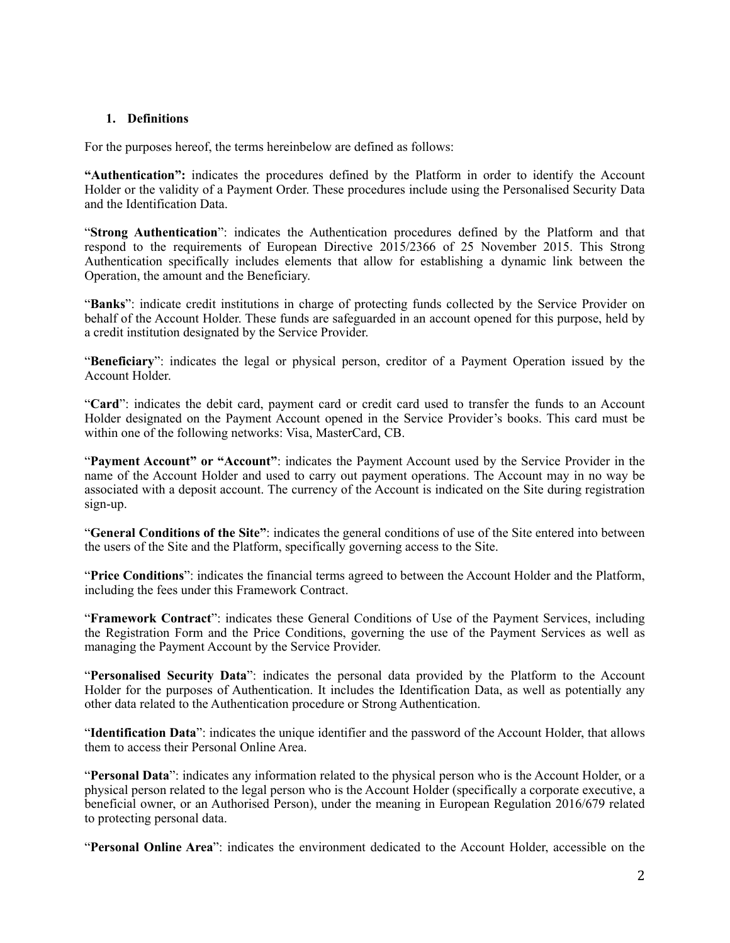### **1. Definitions**

For the purposes hereof, the terms hereinbelow are defined as follows:

**"Authentication":** indicates the procedures defined by the Platform in order to identify the Account Holder or the validity of a Payment Order. These procedures include using the Personalised Security Data and the Identification Data.

"**Strong Authentication**": indicates the Authentication procedures defined by the Platform and that respond to the requirements of European Directive 2015/2366 of 25 November 2015. This Strong Authentication specifically includes elements that allow for establishing a dynamic link between the Operation, the amount and the Beneficiary.

"**Banks**": indicate credit institutions in charge of protecting funds collected by the Service Provider on behalf of the Account Holder. These funds are safeguarded in an account opened for this purpose, held by a credit institution designated by the Service Provider.

"**Beneficiary**": indicates the legal or physical person, creditor of a Payment Operation issued by the Account Holder.

"**Card**": indicates the debit card, payment card or credit card used to transfer the funds to an Account Holder designated on the Payment Account opened in the Service Provider's books. This card must be within one of the following networks: Visa, MasterCard, CB.

"**Payment Account" or "Account"**: indicates the Payment Account used by the Service Provider in the name of the Account Holder and used to carry out payment operations. The Account may in no way be associated with a deposit account. The currency of the Account is indicated on the Site during registration sign-up.

"**General Conditions of the Site"**: indicates the general conditions of use of the Site entered into between the users of the Site and the Platform, specifically governing access to the Site.

"**Price Conditions**": indicates the financial terms agreed to between the Account Holder and the Platform, including the fees under this Framework Contract.

"**Framework Contract**": indicates these General Conditions of Use of the Payment Services, including the Registration Form and the Price Conditions, governing the use of the Payment Services as well as managing the Payment Account by the Service Provider.

"**Personalised Security Data**": indicates the personal data provided by the Platform to the Account Holder for the purposes of Authentication. It includes the Identification Data, as well as potentially any other data related to the Authentication procedure or Strong Authentication.

"**Identification Data**": indicates the unique identifier and the password of the Account Holder, that allows them to access their Personal Online Area.

"**Personal Data**": indicates any information related to the physical person who is the Account Holder, or a physical person related to the legal person who is the Account Holder (specifically a corporate executive, a beneficial owner, or an Authorised Person), under the meaning in European Regulation 2016/679 related to protecting personal data.

"**Personal Online Area**": indicates the environment dedicated to the Account Holder, accessible on the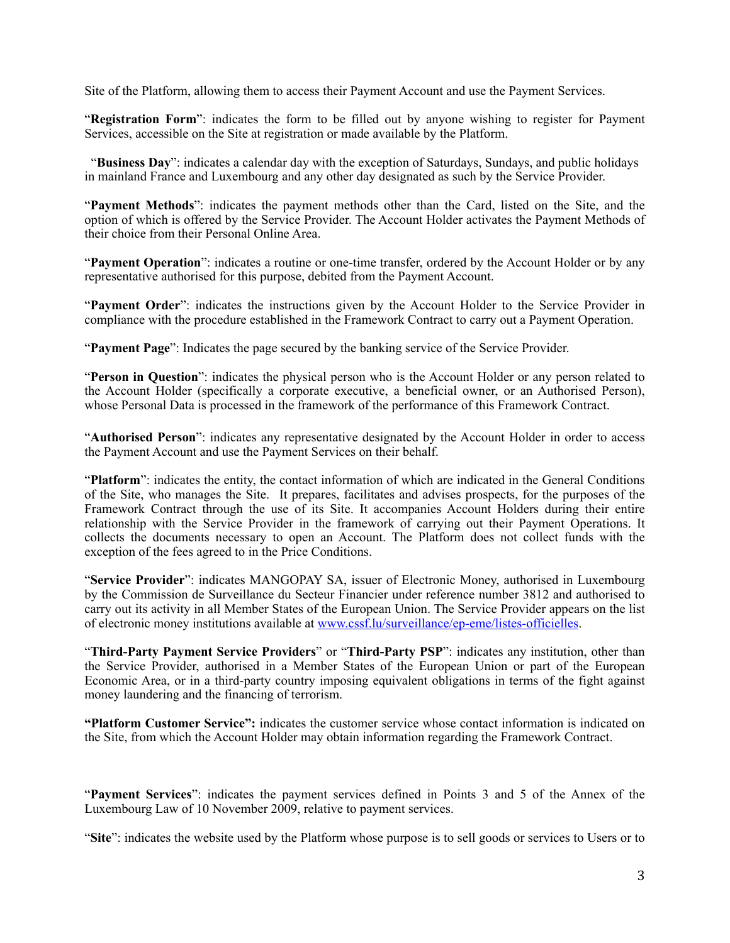Site of the Platform, allowing them to access their Payment Account and use the Payment Services.

"**Registration Form**": indicates the form to be filled out by anyone wishing to register for Payment Services, accessible on the Site at registration or made available by the Platform.

"**Business Day**": indicates a calendar day with the exception of Saturdays, Sundays, and public holidays in mainland France and Luxembourg and any other day designated as such by the Service Provider.

"**Payment Methods**": indicates the payment methods other than the Card, listed on the Site, and the option of which is offered by the Service Provider. The Account Holder activates the Payment Methods of their choice from their Personal Online Area.

"**Payment Operation**": indicates a routine or one-time transfer, ordered by the Account Holder or by any representative authorised for this purpose, debited from the Payment Account.

"**Payment Order**": indicates the instructions given by the Account Holder to the Service Provider in compliance with the procedure established in the Framework Contract to carry out a Payment Operation.

"**Payment Page**": Indicates the page secured by the banking service of the Service Provider.

"**Person in Question**": indicates the physical person who is the Account Holder or any person related to the Account Holder (specifically a corporate executive, a beneficial owner, or an Authorised Person), whose Personal Data is processed in the framework of the performance of this Framework Contract.

"**Authorised Person**": indicates any representative designated by the Account Holder in order to access the Payment Account and use the Payment Services on their behalf.

"Platform": indicates the entity, the contact information of which are indicated in the General Conditions of the Site, who manages the Site. It prepares, facilitates and advises prospects, for the purposes of the Framework Contract through the use of its Site. It accompanies Account Holders during their entire relationship with the Service Provider in the framework of carrying out their Payment Operations. It collects the documents necessary to open an Account. The Platform does not collect funds with the exception of the fees agreed to in the Price Conditions.

"**Service Provider**": indicates MANGOPAY SA, issuer of Electronic Money, authorised in Luxembourg by the Commission de Surveillance du Secteur Financier under reference number 3812 and authorised to carry out its activity in all Member States of the European Union. The Service Provider appears on the list of electronic money institutions available at [www.cssf.lu/surveillance/ep-eme/listes-officielles](http://www.cssf.lu/surveillance/ep-eme/listes-officielles).

"**Third-Party Payment Service Providers**" or "**Third-Party PSP**": indicates any institution, other than the Service Provider, authorised in a Member States of the European Union or part of the European Economic Area, or in a third-party country imposing equivalent obligations in terms of the fight against money laundering and the financing of terrorism.

**"Platform Customer Service":** indicates the customer service whose contact information is indicated on the Site, from which the Account Holder may obtain information regarding the Framework Contract.

"**Payment Services**": indicates the payment services defined in Points 3 and 5 of the Annex of the Luxembourg Law of 10 November 2009, relative to payment services.

"Site": indicates the website used by the Platform whose purpose is to sell goods or services to Users or to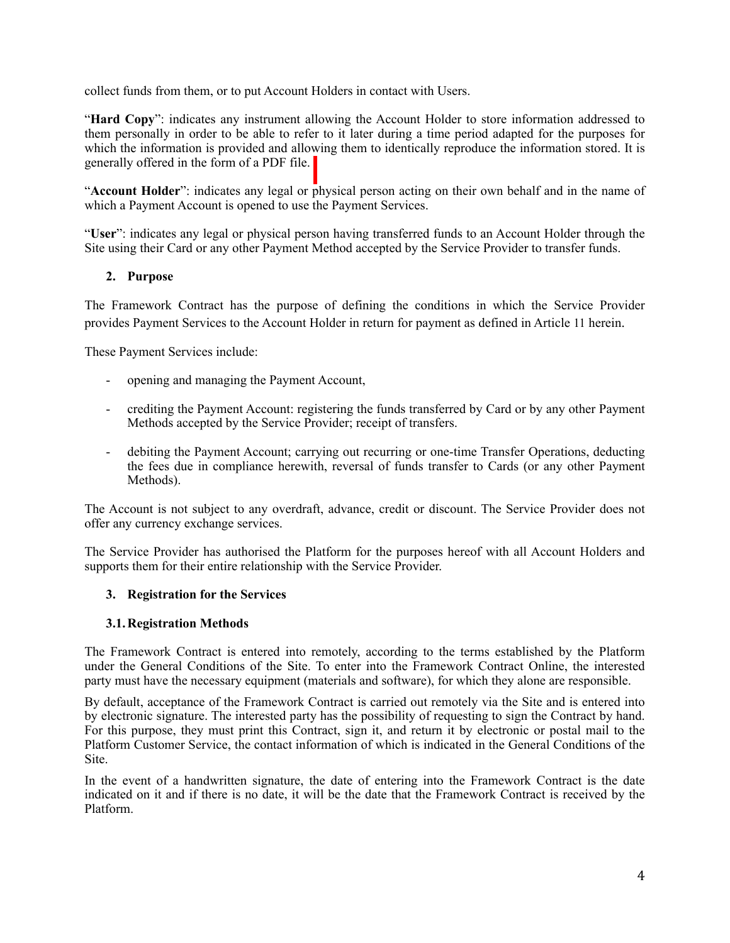collect funds from them, or to put Account Holders in contact with Users.

"Hard Copy": indicates any instrument allowing the Account Holder to store information addressed to them personally in order to be able to refer to it later during a time period adapted for the purposes for which the information is provided and allowing them to identically reproduce the information stored. It is generally offered in the form of a PDF file.

"Account Holder": indicates any legal or physical person acting on their own behalf and in the name of which a Payment Account is opened to use the Payment Services.

"**User**": indicates any legal or physical person having transferred funds to an Account Holder through the Site using their Card or any other Payment Method accepted by the Service Provider to transfer funds.

# **2. Purpose**

The Framework Contract has the purpose of defining the conditions in which the Service Provider provides Payment Services to the Account Holder in return for payment as defined in Article [11](#page-11-0) herein.

These Payment Services include:

- opening and managing the Payment Account,
- crediting the Payment Account: registering the funds transferred by Card or by any other Payment Methods accepted by the Service Provider; receipt of transfers.
- debiting the Payment Account; carrying out recurring or one-time Transfer Operations, deducting the fees due in compliance herewith, reversal of funds transfer to Cards (or any other Payment Methods).

The Account is not subject to any overdraft, advance, credit or discount. The Service Provider does not offer any currency exchange services.

The Service Provider has authorised the Platform for the purposes hereof with all Account Holders and supports them for their entire relationship with the Service Provider.

### **3. Registration for the Services**

### **3.1.Registration Methods**

The Framework Contract is entered into remotely, according to the terms established by the Platform under the General Conditions of the Site. To enter into the Framework Contract Online, the interested party must have the necessary equipment (materials and software), for which they alone are responsible.

By default, acceptance of the Framework Contract is carried out remotely via the Site and is entered into by electronic signature. The interested party has the possibility of requesting to sign the Contract by hand. For this purpose, they must print this Contract, sign it, and return it by electronic or postal mail to the Platform Customer Service, the contact information of which is indicated in the General Conditions of the Site.

In the event of a handwritten signature, the date of entering into the Framework Contract is the date indicated on it and if there is no date, it will be the date that the Framework Contract is received by the Platform.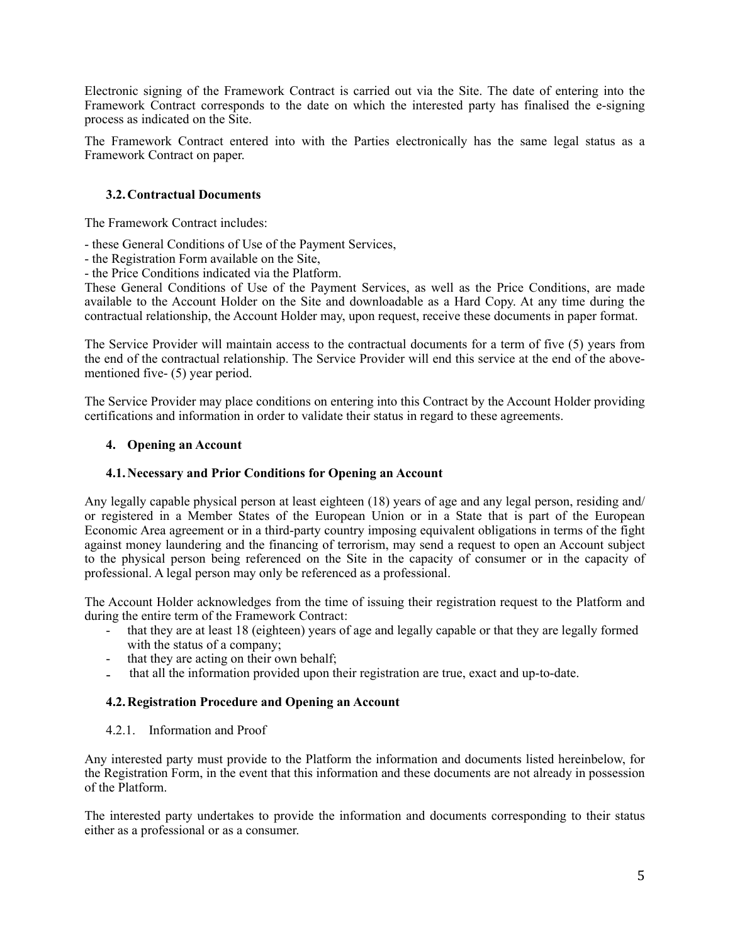Electronic signing of the Framework Contract is carried out via the Site. The date of entering into the Framework Contract corresponds to the date on which the interested party has finalised the e-signing process as indicated on the Site.

The Framework Contract entered into with the Parties electronically has the same legal status as a Framework Contract on paper.

### **3.2.Contractual Documents**

The Framework Contract includes:

- these General Conditions of Use of the Payment Services,
- the Registration Form available on the Site,
- the Price Conditions indicated via the Platform.

These General Conditions of Use of the Payment Services, as well as the Price Conditions, are made available to the Account Holder on the Site and downloadable as a Hard Copy. At any time during the contractual relationship, the Account Holder may, upon request, receive these documents in paper format.

The Service Provider will maintain access to the contractual documents for a term of five (5) years from the end of the contractual relationship. The Service Provider will end this service at the end of the abovementioned five- (5) year period.

The Service Provider may place conditions on entering into this Contract by the Account Holder providing certifications and information in order to validate their status in regard to these agreements.

#### **4. Opening an Account**

#### **4.1.Necessary and Prior Conditions for Opening an Account**

Any legally capable physical person at least eighteen (18) years of age and any legal person, residing and/ or registered in a Member States of the European Union or in a State that is part of the European Economic Area agreement or in a third-party country imposing equivalent obligations in terms of the fight against money laundering and the financing of terrorism, may send a request to open an Account subject to the physical person being referenced on the Site in the capacity of consumer or in the capacity of professional. A legal person may only be referenced as a professional.

The Account Holder acknowledges from the time of issuing their registration request to the Platform and during the entire term of the Framework Contract:

- that they are at least 18 (eighteen) years of age and legally capable or that they are legally formed with the status of a company;
- that they are acting on their own behalf;
- that all the information provided upon their registration are true, exact and up-to-date.

### **4.2.Registration Procedure and Opening an Account**

#### 4.2.1. Information and Proof

Any interested party must provide to the Platform the information and documents listed hereinbelow, for the Registration Form, in the event that this information and these documents are not already in possession of the Platform.

The interested party undertakes to provide the information and documents corresponding to their status either as a professional or as a consumer.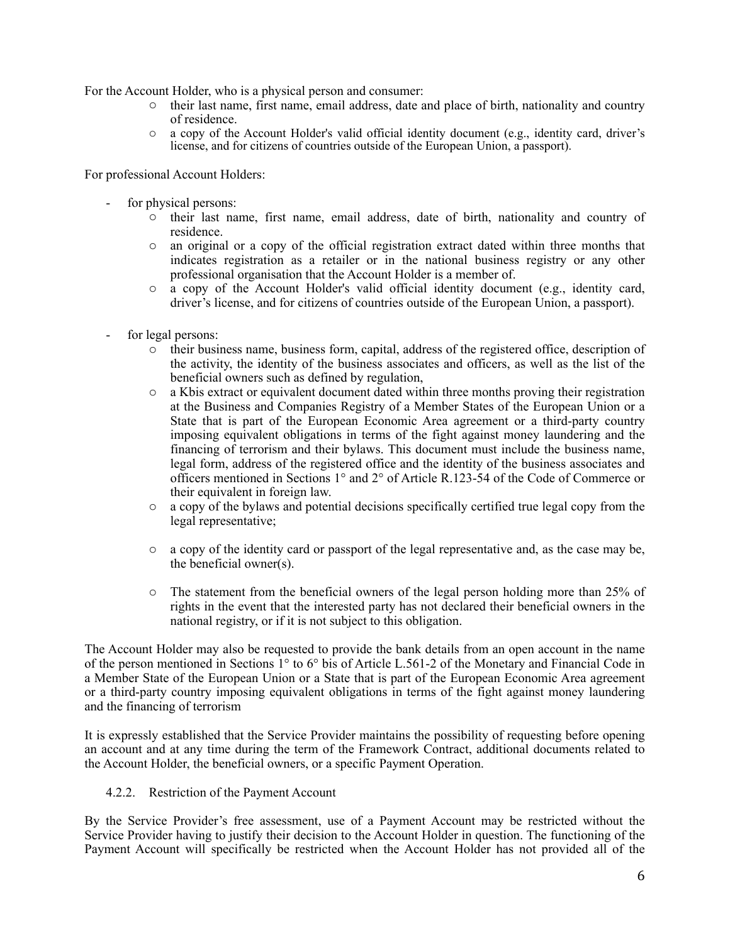For the Account Holder, who is a physical person and consumer:

- o their last name, first name, email address, date and place of birth, nationality and country of residence.
- $\circ$  a copy of the Account Holder's valid official identity document (e.g., identity card, driver's license, and for citizens of countries outside of the European Union, a passport).

For professional Account Holders:

- for physical persons:
	- o their last name, first name, email address, date of birth, nationality and country of residence.
	- o an original or a copy of the official registration extract dated within three months that indicates registration as a retailer or in the national business registry or any other professional organisation that the Account Holder is a member of.
	- o a copy of the Account Holder's valid official identity document (e.g., identity card, driver's license, and for citizens of countries outside of the European Union, a passport).
- for legal persons:
	- o their business name, business form, capital, address of the registered office, description of the activity, the identity of the business associates and officers, as well as the list of the beneficial owners such as defined by regulation,
	- o a Kbis extract or equivalent document dated within three months proving their registration at the Business and Companies Registry of a Member States of the European Union or a State that is part of the European Economic Area agreement or a third-party country imposing equivalent obligations in terms of the fight against money laundering and the financing of terrorism and their bylaws. This document must include the business name, legal form, address of the registered office and the identity of the business associates and officers mentioned in Sections 1° and 2° of Article R.123-54 of the Code of Commerce or their equivalent in foreign law.
	- $\circ$  a copy of the bylaws and potential decisions specifically certified true legal copy from the legal representative;
	- $\circ$  a copy of the identity card or passport of the legal representative and, as the case may be, the beneficial owner(s).
	- $\circ$  The statement from the beneficial owners of the legal person holding more than 25% of rights in the event that the interested party has not declared their beneficial owners in the national registry, or if it is not subject to this obligation.

The Account Holder may also be requested to provide the bank details from an open account in the name of the person mentioned in Sections 1° to 6° bis of Article L.561-2 of the Monetary and Financial Code in a Member State of the European Union or a State that is part of the European Economic Area agreement or a third-party country imposing equivalent obligations in terms of the fight against money laundering and the financing of terrorism

It is expressly established that the Service Provider maintains the possibility of requesting before opening an account and at any time during the term of the Framework Contract, additional documents related to the Account Holder, the beneficial owners, or a specific Payment Operation.

4.2.2. Restriction of the Payment Account

By the Service Provider's free assessment, use of a Payment Account may be restricted without the Service Provider having to justify their decision to the Account Holder in question. The functioning of the Payment Account will specifically be restricted when the Account Holder has not provided all of the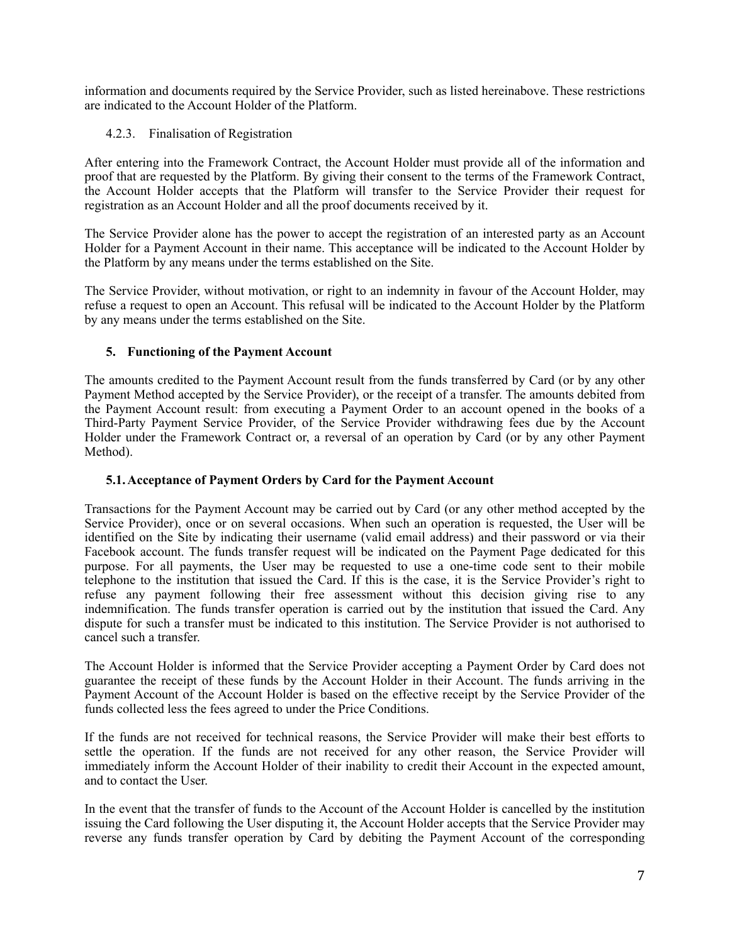information and documents required by the Service Provider, such as listed hereinabove. These restrictions are indicated to the Account Holder of the Platform.

### 4.2.3. Finalisation of Registration

After entering into the Framework Contract, the Account Holder must provide all of the information and proof that are requested by the Platform. By giving their consent to the terms of the Framework Contract, the Account Holder accepts that the Platform will transfer to the Service Provider their request for registration as an Account Holder and all the proof documents received by it.

The Service Provider alone has the power to accept the registration of an interested party as an Account Holder for a Payment Account in their name. This acceptance will be indicated to the Account Holder by the Platform by any means under the terms established on the Site.

The Service Provider, without motivation, or right to an indemnity in favour of the Account Holder, may refuse a request to open an Account. This refusal will be indicated to the Account Holder by the Platform by any means under the terms established on the Site.

# **5. Functioning of the Payment Account**

The amounts credited to the Payment Account result from the funds transferred by Card (or by any other Payment Method accepted by the Service Provider), or the receipt of a transfer. The amounts debited from the Payment Account result: from executing a Payment Order to an account opened in the books of a Third-Party Payment Service Provider, of the Service Provider withdrawing fees due by the Account Holder under the Framework Contract or, a reversal of an operation by Card (or by any other Payment Method).

### **5.1.Acceptance of Payment Orders by Card for the Payment Account**

Transactions for the Payment Account may be carried out by Card (or any other method accepted by the Service Provider), once or on several occasions. When such an operation is requested, the User will be identified on the Site by indicating their username (valid email address) and their password or via their Facebook account. The funds transfer request will be indicated on the Payment Page dedicated for this purpose. For all payments, the User may be requested to use a one-time code sent to their mobile telephone to the institution that issued the Card. If this is the case, it is the Service Provider's right to refuse any payment following their free assessment without this decision giving rise to any indemnification. The funds transfer operation is carried out by the institution that issued the Card. Any dispute for such a transfer must be indicated to this institution. The Service Provider is not authorised to cancel such a transfer.

The Account Holder is informed that the Service Provider accepting a Payment Order by Card does not guarantee the receipt of these funds by the Account Holder in their Account. The funds arriving in the Payment Account of the Account Holder is based on the effective receipt by the Service Provider of the funds collected less the fees agreed to under the Price Conditions.

If the funds are not received for technical reasons, the Service Provider will make their best efforts to settle the operation. If the funds are not received for any other reason, the Service Provider will immediately inform the Account Holder of their inability to credit their Account in the expected amount, and to contact the User.

In the event that the transfer of funds to the Account of the Account Holder is cancelled by the institution issuing the Card following the User disputing it, the Account Holder accepts that the Service Provider may reverse any funds transfer operation by Card by debiting the Payment Account of the corresponding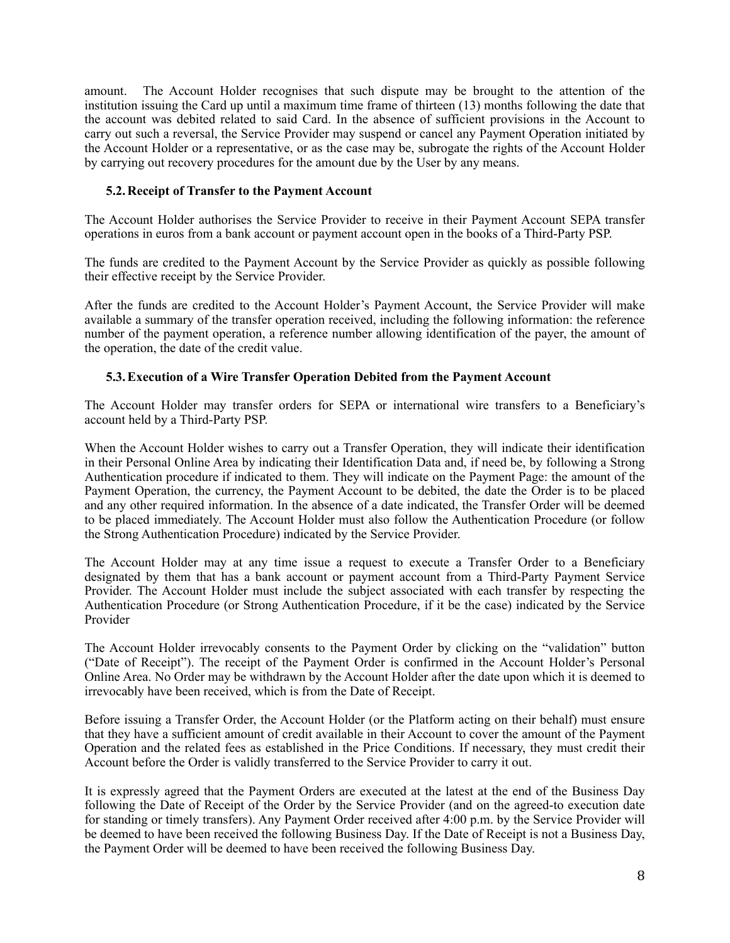amount. The Account Holder recognises that such dispute may be brought to the attention of the institution issuing the Card up until a maximum time frame of thirteen (13) months following the date that the account was debited related to said Card. In the absence of sufficient provisions in the Account to carry out such a reversal, the Service Provider may suspend or cancel any Payment Operation initiated by the Account Holder or a representative, or as the case may be, subrogate the rights of the Account Holder by carrying out recovery procedures for the amount due by the User by any means.

### **5.2.Receipt of Transfer to the Payment Account**

The Account Holder authorises the Service Provider to receive in their Payment Account SEPA transfer operations in euros from a bank account or payment account open in the books of a Third-Party PSP.

The funds are credited to the Payment Account by the Service Provider as quickly as possible following their effective receipt by the Service Provider.

After the funds are credited to the Account Holder's Payment Account, the Service Provider will make available a summary of the transfer operation received, including the following information: the reference number of the payment operation, a reference number allowing identification of the payer, the amount of the operation, the date of the credit value.

# **5.3.Execution of a Wire Transfer Operation Debited from the Payment Account**

The Account Holder may transfer orders for SEPA or international wire transfers to a Beneficiary's account held by a Third-Party PSP.

When the Account Holder wishes to carry out a Transfer Operation, they will indicate their identification in their Personal Online Area by indicating their Identification Data and, if need be, by following a Strong Authentication procedure if indicated to them. They will indicate on the Payment Page: the amount of the Payment Operation, the currency, the Payment Account to be debited, the date the Order is to be placed and any other required information. In the absence of a date indicated, the Transfer Order will be deemed to be placed immediately. The Account Holder must also follow the Authentication Procedure (or follow the Strong Authentication Procedure) indicated by the Service Provider.

The Account Holder may at any time issue a request to execute a Transfer Order to a Beneficiary designated by them that has a bank account or payment account from a Third-Party Payment Service Provider. The Account Holder must include the subject associated with each transfer by respecting the Authentication Procedure (or Strong Authentication Procedure, if it be the case) indicated by the Service Provider

The Account Holder irrevocably consents to the Payment Order by clicking on the "validation" button ("Date of Receipt"). The receipt of the Payment Order is confirmed in the Account Holder's Personal Online Area. No Order may be withdrawn by the Account Holder after the date upon which it is deemed to irrevocably have been received, which is from the Date of Receipt.

Before issuing a Transfer Order, the Account Holder (or the Platform acting on their behalf) must ensure that they have a sufficient amount of credit available in their Account to cover the amount of the Payment Operation and the related fees as established in the Price Conditions. If necessary, they must credit their Account before the Order is validly transferred to the Service Provider to carry it out.

It is expressly agreed that the Payment Orders are executed at the latest at the end of the Business Day following the Date of Receipt of the Order by the Service Provider (and on the agreed-to execution date for standing or timely transfers). Any Payment Order received after 4:00 p.m. by the Service Provider will be deemed to have been received the following Business Day. If the Date of Receipt is not a Business Day, the Payment Order will be deemed to have been received the following Business Day.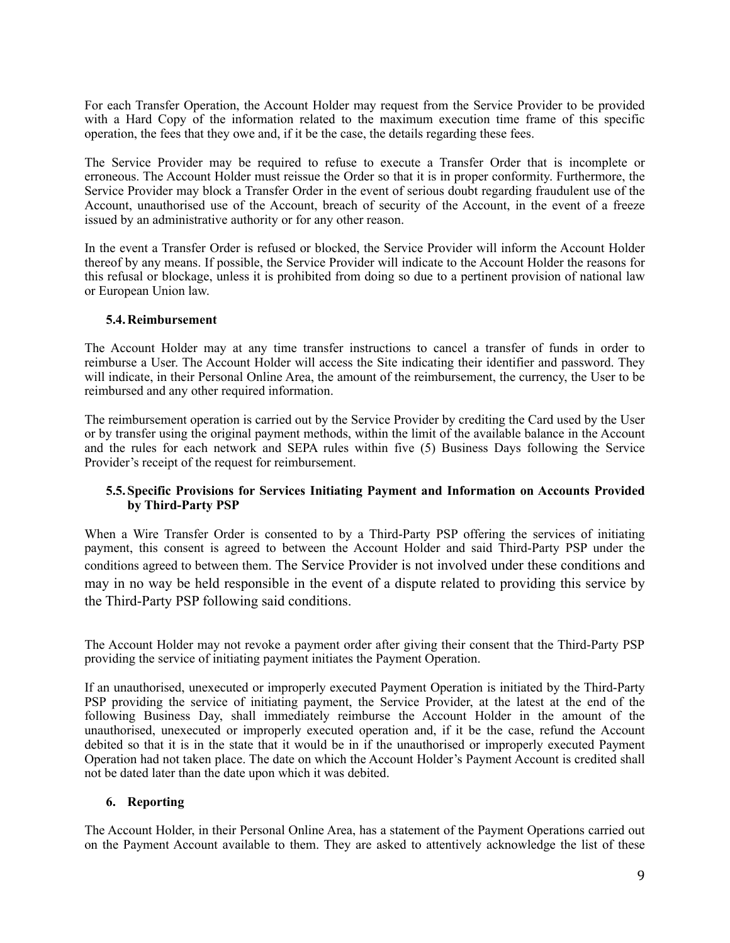For each Transfer Operation, the Account Holder may request from the Service Provider to be provided with a Hard Copy of the information related to the maximum execution time frame of this specific operation, the fees that they owe and, if it be the case, the details regarding these fees.

The Service Provider may be required to refuse to execute a Transfer Order that is incomplete or erroneous. The Account Holder must reissue the Order so that it is in proper conformity. Furthermore, the Service Provider may block a Transfer Order in the event of serious doubt regarding fraudulent use of the Account, unauthorised use of the Account, breach of security of the Account, in the event of a freeze issued by an administrative authority or for any other reason.

In the event a Transfer Order is refused or blocked, the Service Provider will inform the Account Holder thereof by any means. If possible, the Service Provider will indicate to the Account Holder the reasons for this refusal or blockage, unless it is prohibited from doing so due to a pertinent provision of national law or European Union law.

### **5.4.Reimbursement**

The Account Holder may at any time transfer instructions to cancel a transfer of funds in order to reimburse a User. The Account Holder will access the Site indicating their identifier and password. They will indicate, in their Personal Online Area, the amount of the reimbursement, the currency, the User to be reimbursed and any other required information.

The reimbursement operation is carried out by the Service Provider by crediting the Card used by the User or by transfer using the original payment methods, within the limit of the available balance in the Account and the rules for each network and SEPA rules within five (5) Business Days following the Service Provider's receipt of the request for reimbursement.

### **5.5.Specific Provisions for Services Initiating Payment and Information on Accounts Provided by Third-Party PSP**

When a Wire Transfer Order is consented to by a Third-Party PSP offering the services of initiating payment, this consent is agreed to between the Account Holder and said Third-Party PSP under the conditions agreed to between them. The Service Provider is not involved under these conditions and may in no way be held responsible in the event of a dispute related to providing this service by the Third-Party PSP following said conditions.

The Account Holder may not revoke a payment order after giving their consent that the Third-Party PSP providing the service of initiating payment initiates the Payment Operation.

If an unauthorised, unexecuted or improperly executed Payment Operation is initiated by the Third-Party PSP providing the service of initiating payment, the Service Provider, at the latest at the end of the following Business Day, shall immediately reimburse the Account Holder in the amount of the unauthorised, unexecuted or improperly executed operation and, if it be the case, refund the Account debited so that it is in the state that it would be in if the unauthorised or improperly executed Payment Operation had not taken place. The date on which the Account Holder's Payment Account is credited shall not be dated later than the date upon which it was debited.

### **6. Reporting**

The Account Holder, in their Personal Online Area, has a statement of the Payment Operations carried out on the Payment Account available to them. They are asked to attentively acknowledge the list of these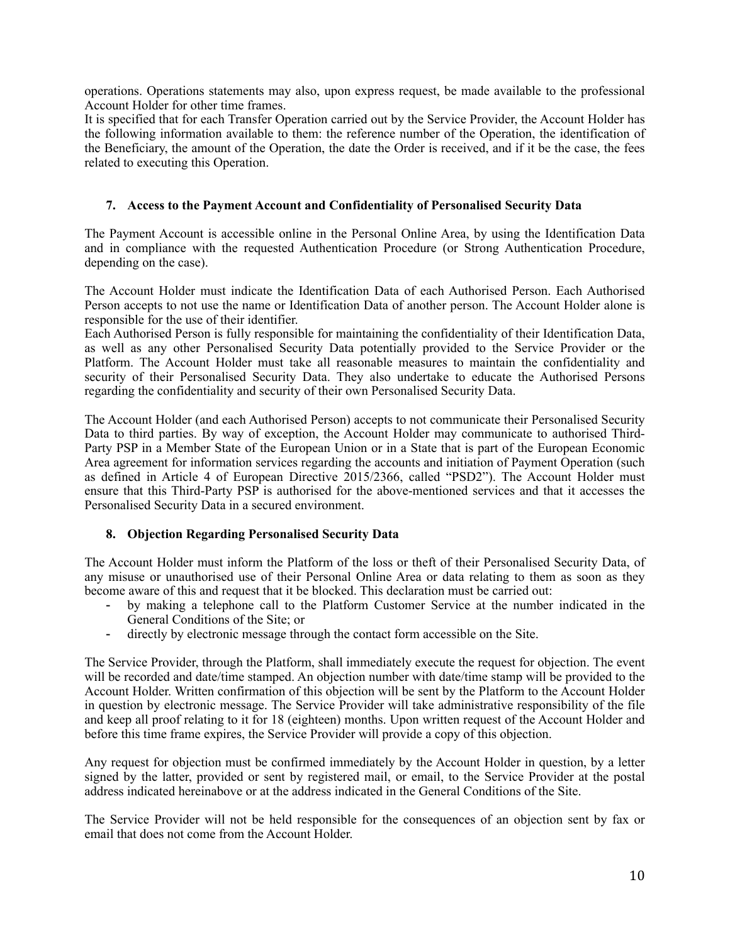operations. Operations statements may also, upon express request, be made available to the professional Account Holder for other time frames.

It is specified that for each Transfer Operation carried out by the Service Provider, the Account Holder has the following information available to them: the reference number of the Operation, the identification of the Beneficiary, the amount of the Operation, the date the Order is received, and if it be the case, the fees related to executing this Operation.

### **7. Access to the Payment Account and Confidentiality of Personalised Security Data**

The Payment Account is accessible online in the Personal Online Area, by using the Identification Data and in compliance with the requested Authentication Procedure (or Strong Authentication Procedure, depending on the case).

The Account Holder must indicate the Identification Data of each Authorised Person. Each Authorised Person accepts to not use the name or Identification Data of another person. The Account Holder alone is responsible for the use of their identifier.

Each Authorised Person is fully responsible for maintaining the confidentiality of their Identification Data, as well as any other Personalised Security Data potentially provided to the Service Provider or the Platform. The Account Holder must take all reasonable measures to maintain the confidentiality and security of their Personalised Security Data. They also undertake to educate the Authorised Persons regarding the confidentiality and security of their own Personalised Security Data.

The Account Holder (and each Authorised Person) accepts to not communicate their Personalised Security Data to third parties. By way of exception, the Account Holder may communicate to authorised Third-Party PSP in a Member State of the European Union or in a State that is part of the European Economic Area agreement for information services regarding the accounts and initiation of Payment Operation (such as defined in Article 4 of European Directive 2015/2366, called "PSD2"). The Account Holder must ensure that this Third-Party PSP is authorised for the above-mentioned services and that it accesses the Personalised Security Data in a secured environment.

# **8. Objection Regarding Personalised Security Data**

The Account Holder must inform the Platform of the loss or theft of their Personalised Security Data, of any misuse or unauthorised use of their Personal Online Area or data relating to them as soon as they become aware of this and request that it be blocked. This declaration must be carried out:

- by making a telephone call to the Platform Customer Service at the number indicated in the General Conditions of the Site; or
- directly by electronic message through the contact form accessible on the Site.

The Service Provider, through the Platform, shall immediately execute the request for objection. The event will be recorded and date/time stamped. An objection number with date/time stamp will be provided to the Account Holder. Written confirmation of this objection will be sent by the Platform to the Account Holder in question by electronic message. The Service Provider will take administrative responsibility of the file and keep all proof relating to it for 18 (eighteen) months. Upon written request of the Account Holder and before this time frame expires, the Service Provider will provide a copy of this objection.

Any request for objection must be confirmed immediately by the Account Holder in question, by a letter signed by the latter, provided or sent by registered mail, or email, to the Service Provider at the postal address indicated hereinabove or at the address indicated in the General Conditions of the Site.

The Service Provider will not be held responsible for the consequences of an objection sent by fax or email that does not come from the Account Holder.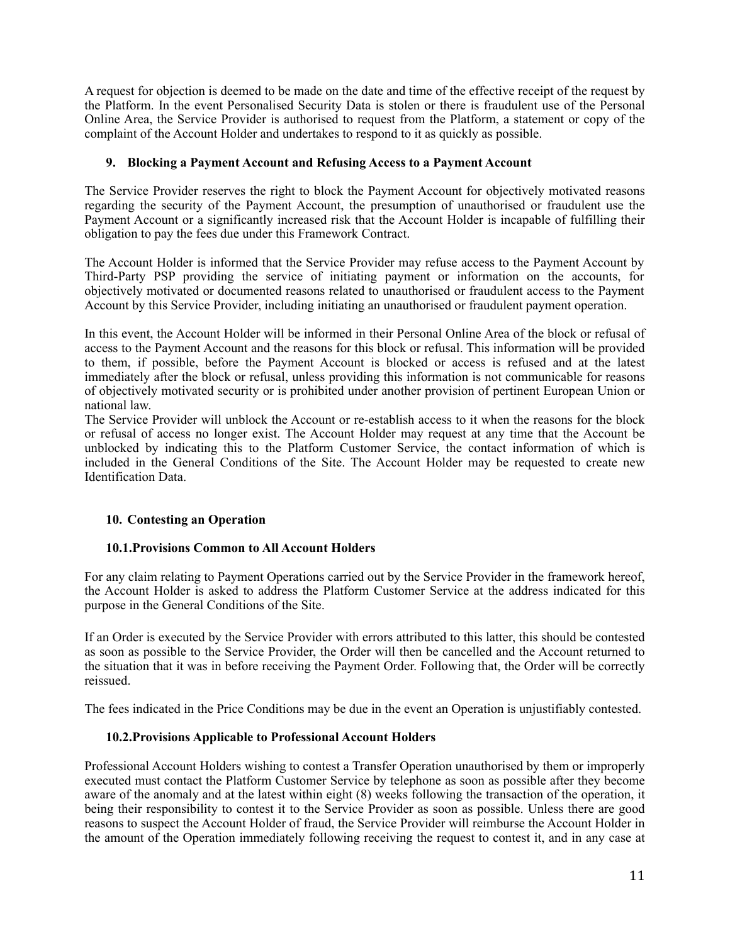A request for objection is deemed to be made on the date and time of the effective receipt of the request by the Platform. In the event Personalised Security Data is stolen or there is fraudulent use of the Personal Online Area, the Service Provider is authorised to request from the Platform, a statement or copy of the complaint of the Account Holder and undertakes to respond to it as quickly as possible.

### **9. Blocking a Payment Account and Refusing Access to a Payment Account**

The Service Provider reserves the right to block the Payment Account for objectively motivated reasons regarding the security of the Payment Account, the presumption of unauthorised or fraudulent use the Payment Account or a significantly increased risk that the Account Holder is incapable of fulfilling their obligation to pay the fees due under this Framework Contract.

The Account Holder is informed that the Service Provider may refuse access to the Payment Account by Third-Party PSP providing the service of initiating payment or information on the accounts, for objectively motivated or documented reasons related to unauthorised or fraudulent access to the Payment Account by this Service Provider, including initiating an unauthorised or fraudulent payment operation.

In this event, the Account Holder will be informed in their Personal Online Area of the block or refusal of access to the Payment Account and the reasons for this block or refusal. This information will be provided to them, if possible, before the Payment Account is blocked or access is refused and at the latest immediately after the block or refusal, unless providing this information is not communicable for reasons of objectively motivated security or is prohibited under another provision of pertinent European Union or national law.

The Service Provider will unblock the Account or re-establish access to it when the reasons for the block or refusal of access no longer exist. The Account Holder may request at any time that the Account be unblocked by indicating this to the Platform Customer Service, the contact information of which is included in the General Conditions of the Site. The Account Holder may be requested to create new Identification Data.

### <span id="page-10-0"></span>**10. Contesting an Operation**

#### **10.1.Provisions Common to All Account Holders**

For any claim relating to Payment Operations carried out by the Service Provider in the framework hereof, the Account Holder is asked to address the Platform Customer Service at the address indicated for this purpose in the General Conditions of the Site.

If an Order is executed by the Service Provider with errors attributed to this latter, this should be contested as soon as possible to the Service Provider, the Order will then be cancelled and the Account returned to the situation that it was in before receiving the Payment Order. Following that, the Order will be correctly reissued.

The fees indicated in the Price Conditions may be due in the event an Operation is unjustifiably contested.

### **10.2.Provisions Applicable to Professional Account Holders**

Professional Account Holders wishing to contest a Transfer Operation unauthorised by them or improperly executed must contact the Platform Customer Service by telephone as soon as possible after they become aware of the anomaly and at the latest within eight (8) weeks following the transaction of the operation, it being their responsibility to contest it to the Service Provider as soon as possible. Unless there are good reasons to suspect the Account Holder of fraud, the Service Provider will reimburse the Account Holder in the amount of the Operation immediately following receiving the request to contest it, and in any case at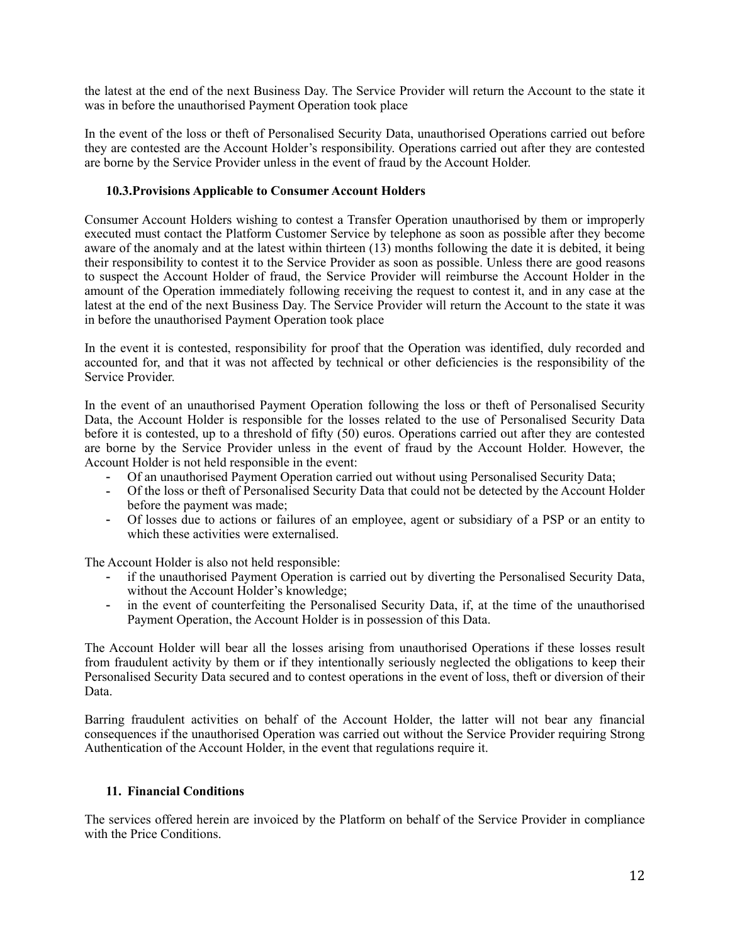the latest at the end of the next Business Day. The Service Provider will return the Account to the state it was in before the unauthorised Payment Operation took place

In the event of the loss or theft of Personalised Security Data, unauthorised Operations carried out before they are contested are the Account Holder's responsibility. Operations carried out after they are contested are borne by the Service Provider unless in the event of fraud by the Account Holder.

#### **10.3.Provisions Applicable to Consumer Account Holders**

Consumer Account Holders wishing to contest a Transfer Operation unauthorised by them or improperly executed must contact the Platform Customer Service by telephone as soon as possible after they become aware of the anomaly and at the latest within thirteen (13) months following the date it is debited, it being their responsibility to contest it to the Service Provider as soon as possible. Unless there are good reasons to suspect the Account Holder of fraud, the Service Provider will reimburse the Account Holder in the amount of the Operation immediately following receiving the request to contest it, and in any case at the latest at the end of the next Business Day. The Service Provider will return the Account to the state it was in before the unauthorised Payment Operation took place

In the event it is contested, responsibility for proof that the Operation was identified, duly recorded and accounted for, and that it was not affected by technical or other deficiencies is the responsibility of the Service Provider.

In the event of an unauthorised Payment Operation following the loss or theft of Personalised Security Data, the Account Holder is responsible for the losses related to the use of Personalised Security Data before it is contested, up to a threshold of fifty (50) euros. Operations carried out after they are contested are borne by the Service Provider unless in the event of fraud by the Account Holder. However, the Account Holder is not held responsible in the event:

- Of an unauthorised Payment Operation carried out without using Personalised Security Data;
- Of the loss or theft of Personalised Security Data that could not be detected by the Account Holder before the payment was made;
- Of losses due to actions or failures of an employee, agent or subsidiary of a PSP or an entity to which these activities were externalised.

The Account Holder is also not held responsible:

- if the unauthorised Payment Operation is carried out by diverting the Personalised Security Data, without the Account Holder's knowledge;
- in the event of counterfeiting the Personalised Security Data, if, at the time of the unauthorised Payment Operation, the Account Holder is in possession of this Data.

The Account Holder will bear all the losses arising from unauthorised Operations if these losses result from fraudulent activity by them or if they intentionally seriously neglected the obligations to keep their Personalised Security Data secured and to contest operations in the event of loss, theft or diversion of their Data.

Barring fraudulent activities on behalf of the Account Holder, the latter will not bear any financial consequences if the unauthorised Operation was carried out without the Service Provider requiring Strong Authentication of the Account Holder, in the event that regulations require it.

### <span id="page-11-0"></span>**11. Financial Conditions**

The services offered herein are invoiced by the Platform on behalf of the Service Provider in compliance with the Price Conditions.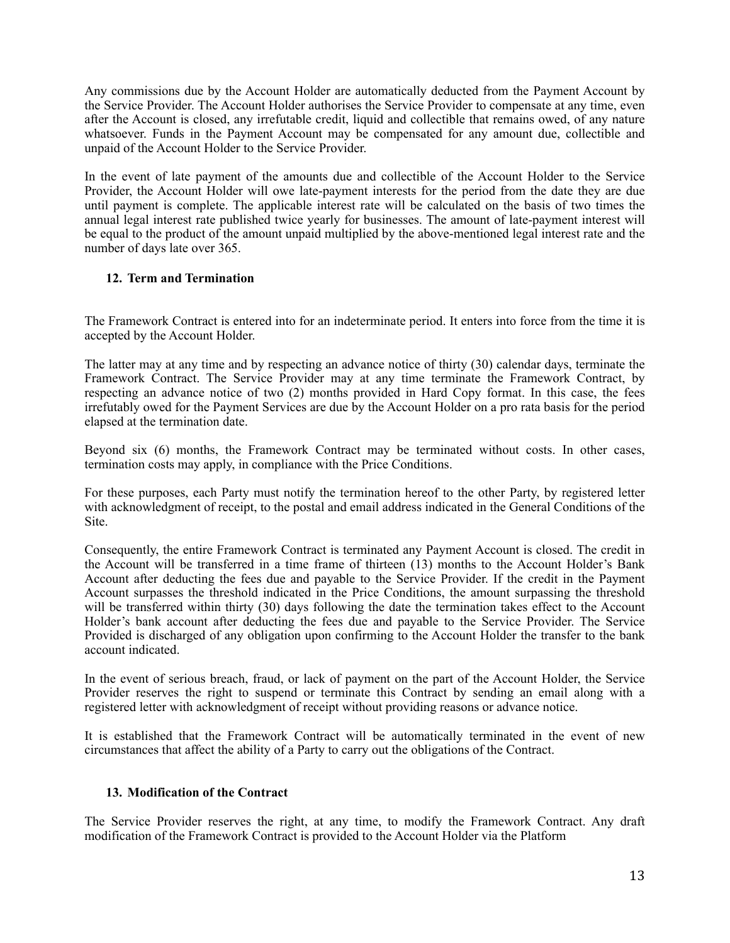Any commissions due by the Account Holder are automatically deducted from the Payment Account by the Service Provider. The Account Holder authorises the Service Provider to compensate at any time, even after the Account is closed, any irrefutable credit, liquid and collectible that remains owed, of any nature whatsoever. Funds in the Payment Account may be compensated for any amount due, collectible and unpaid of the Account Holder to the Service Provider.

In the event of late payment of the amounts due and collectible of the Account Holder to the Service Provider, the Account Holder will owe late-payment interests for the period from the date they are due until payment is complete. The applicable interest rate will be calculated on the basis of two times the annual legal interest rate published twice yearly for businesses. The amount of late-payment interest will be equal to the product of the amount unpaid multiplied by the above-mentioned legal interest rate and the number of days late over 365.

# **12. Term and Termination**

The Framework Contract is entered into for an indeterminate period. It enters into force from the time it is accepted by the Account Holder.

The latter may at any time and by respecting an advance notice of thirty (30) calendar days, terminate the Framework Contract. The Service Provider may at any time terminate the Framework Contract, by respecting an advance notice of two (2) months provided in Hard Copy format. In this case, the fees irrefutably owed for the Payment Services are due by the Account Holder on a pro rata basis for the period elapsed at the termination date.

Beyond six (6) months, the Framework Contract may be terminated without costs. In other cases, termination costs may apply, in compliance with the Price Conditions.

For these purposes, each Party must notify the termination hereof to the other Party, by registered letter with acknowledgment of receipt, to the postal and email address indicated in the General Conditions of the Site.

Consequently, the entire Framework Contract is terminated any Payment Account is closed. The credit in the Account will be transferred in a time frame of thirteen (13) months to the Account Holder's Bank Account after deducting the fees due and payable to the Service Provider. If the credit in the Payment Account surpasses the threshold indicated in the Price Conditions, the amount surpassing the threshold will be transferred within thirty (30) days following the date the termination takes effect to the Account Holder's bank account after deducting the fees due and payable to the Service Provider. The Service Provided is discharged of any obligation upon confirming to the Account Holder the transfer to the bank account indicated.

In the event of serious breach, fraud, or lack of payment on the part of the Account Holder, the Service Provider reserves the right to suspend or terminate this Contract by sending an email along with a registered letter with acknowledgment of receipt without providing reasons or advance notice.

It is established that the Framework Contract will be automatically terminated in the event of new circumstances that affect the ability of a Party to carry out the obligations of the Contract.

### **13. Modification of the Contract**

The Service Provider reserves the right, at any time, to modify the Framework Contract. Any draft modification of the Framework Contract is provided to the Account Holder via the Platform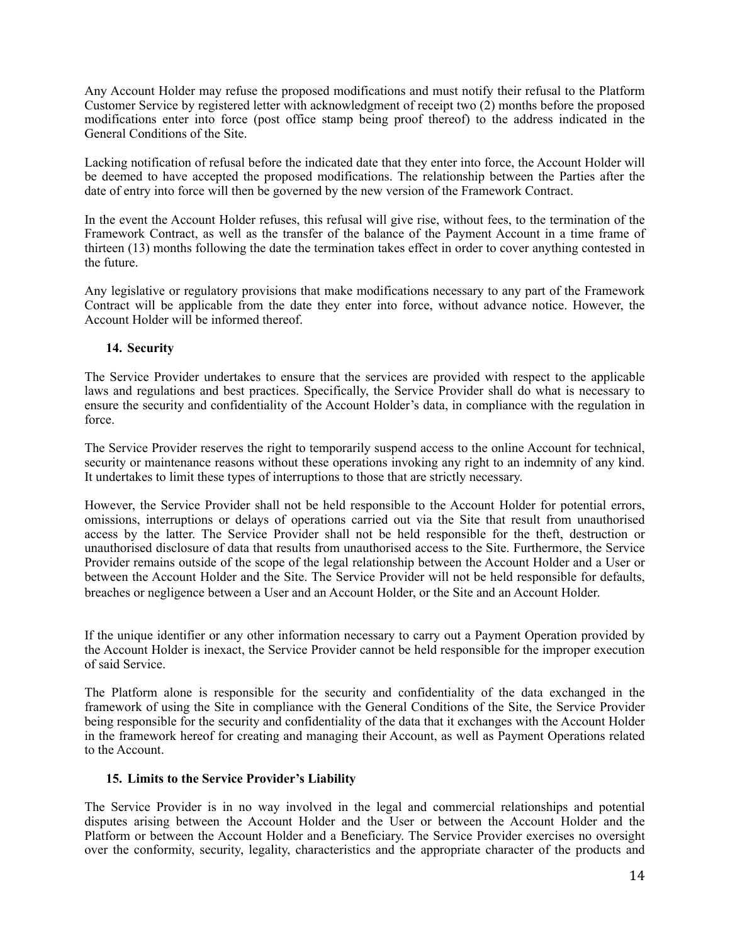Any Account Holder may refuse the proposed modifications and must notify their refusal to the Platform Customer Service by registered letter with acknowledgment of receipt two (2) months before the proposed modifications enter into force (post office stamp being proof thereof) to the address indicated in the General Conditions of the Site.

Lacking notification of refusal before the indicated date that they enter into force, the Account Holder will be deemed to have accepted the proposed modifications. The relationship between the Parties after the date of entry into force will then be governed by the new version of the Framework Contract.

In the event the Account Holder refuses, this refusal will give rise, without fees, to the termination of the Framework Contract, as well as the transfer of the balance of the Payment Account in a time frame of thirteen (13) months following the date the termination takes effect in order to cover anything contested in the future.

Any legislative or regulatory provisions that make modifications necessary to any part of the Framework Contract will be applicable from the date they enter into force, without advance notice. However, the Account Holder will be informed thereof.

### **14. Security**

The Service Provider undertakes to ensure that the services are provided with respect to the applicable laws and regulations and best practices. Specifically, the Service Provider shall do what is necessary to ensure the security and confidentiality of the Account Holder's data, in compliance with the regulation in force.

The Service Provider reserves the right to temporarily suspend access to the online Account for technical, security or maintenance reasons without these operations invoking any right to an indemnity of any kind. It undertakes to limit these types of interruptions to those that are strictly necessary.

However, the Service Provider shall not be held responsible to the Account Holder for potential errors, omissions, interruptions or delays of operations carried out via the Site that result from unauthorised access by the latter. The Service Provider shall not be held responsible for the theft, destruction or unauthorised disclosure of data that results from unauthorised access to the Site. Furthermore, the Service Provider remains outside of the scope of the legal relationship between the Account Holder and a User or between the Account Holder and the Site. The Service Provider will not be held responsible for defaults, breaches or negligence between a User and an Account Holder, or the Site and an Account Holder.

If the unique identifier or any other information necessary to carry out a Payment Operation provided by the Account Holder is inexact, the Service Provider cannot be held responsible for the improper execution of said Service.

The Platform alone is responsible for the security and confidentiality of the data exchanged in the framework of using the Site in compliance with the General Conditions of the Site, the Service Provider being responsible for the security and confidentiality of the data that it exchanges with the Account Holder in the framework hereof for creating and managing their Account, as well as Payment Operations related to the Account.

### **15. Limits to the Service Provider's Liability**

The Service Provider is in no way involved in the legal and commercial relationships and potential disputes arising between the Account Holder and the User or between the Account Holder and the Platform or between the Account Holder and a Beneficiary. The Service Provider exercises no oversight over the conformity, security, legality, characteristics and the appropriate character of the products and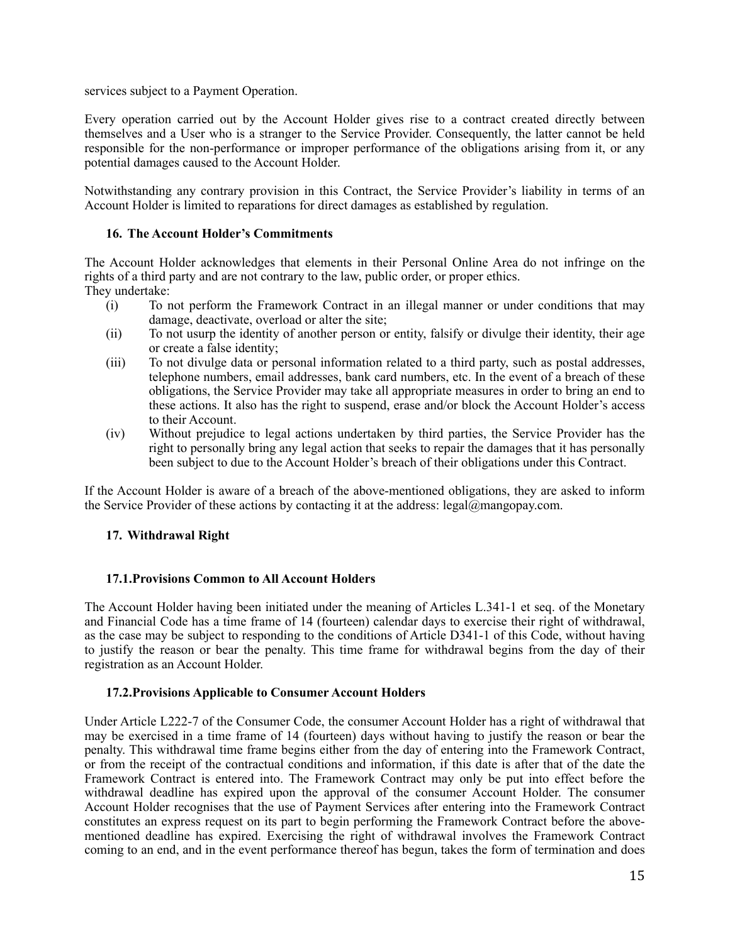services subject to a Payment Operation.

Every operation carried out by the Account Holder gives rise to a contract created directly between themselves and a User who is a stranger to the Service Provider. Consequently, the latter cannot be held responsible for the non-performance or improper performance of the obligations arising from it, or any potential damages caused to the Account Holder.

Notwithstanding any contrary provision in this Contract, the Service Provider's liability in terms of an Account Holder is limited to reparations for direct damages as established by regulation.

#### **16. The Account Holder's Commitments**

The Account Holder acknowledges that elements in their Personal Online Area do not infringe on the rights of a third party and are not contrary to the law, public order, or proper ethics. They undertake:

- (i) To not perform the Framework Contract in an illegal manner or under conditions that may damage, deactivate, overload or alter the site;
- (ii) To not usurp the identity of another person or entity, falsify or divulge their identity, their age or create a false identity;
- (iii) To not divulge data or personal information related to a third party, such as postal addresses, telephone numbers, email addresses, bank card numbers, etc. In the event of a breach of these obligations, the Service Provider may take all appropriate measures in order to bring an end to these actions. It also has the right to suspend, erase and/or block the Account Holder's access to their Account.
- (iv) Without prejudice to legal actions undertaken by third parties, the Service Provider has the right to personally bring any legal action that seeks to repair the damages that it has personally been subject to due to the Account Holder's breach of their obligations under this Contract.

If the Account Holder is aware of a breach of the above-mentioned obligations, they are asked to inform the Service Provider of these actions by contacting it at the address:  $\text{legal@many.com.}$ 

### **17. Withdrawal Right**

### **17.1.Provisions Common to All Account Holders**

The Account Holder having been initiated under the meaning of Articles L.341-1 et seq. of the Monetary and Financial Code has a time frame of 14 (fourteen) calendar days to exercise their right of withdrawal, as the case may be subject to responding to the conditions of Article D341-1 of this Code, without having to justify the reason or bear the penalty. This time frame for withdrawal begins from the day of their registration as an Account Holder.

#### **17.2.Provisions Applicable to Consumer Account Holders**

Under Article L222-7 of the Consumer Code, the consumer Account Holder has a right of withdrawal that may be exercised in a time frame of 14 (fourteen) days without having to justify the reason or bear the penalty. This withdrawal time frame begins either from the day of entering into the Framework Contract, or from the receipt of the contractual conditions and information, if this date is after that of the date the Framework Contract is entered into. The Framework Contract may only be put into effect before the withdrawal deadline has expired upon the approval of the consumer Account Holder. The consumer Account Holder recognises that the use of Payment Services after entering into the Framework Contract constitutes an express request on its part to begin performing the Framework Contract before the abovementioned deadline has expired. Exercising the right of withdrawal involves the Framework Contract coming to an end, and in the event performance thereof has begun, takes the form of termination and does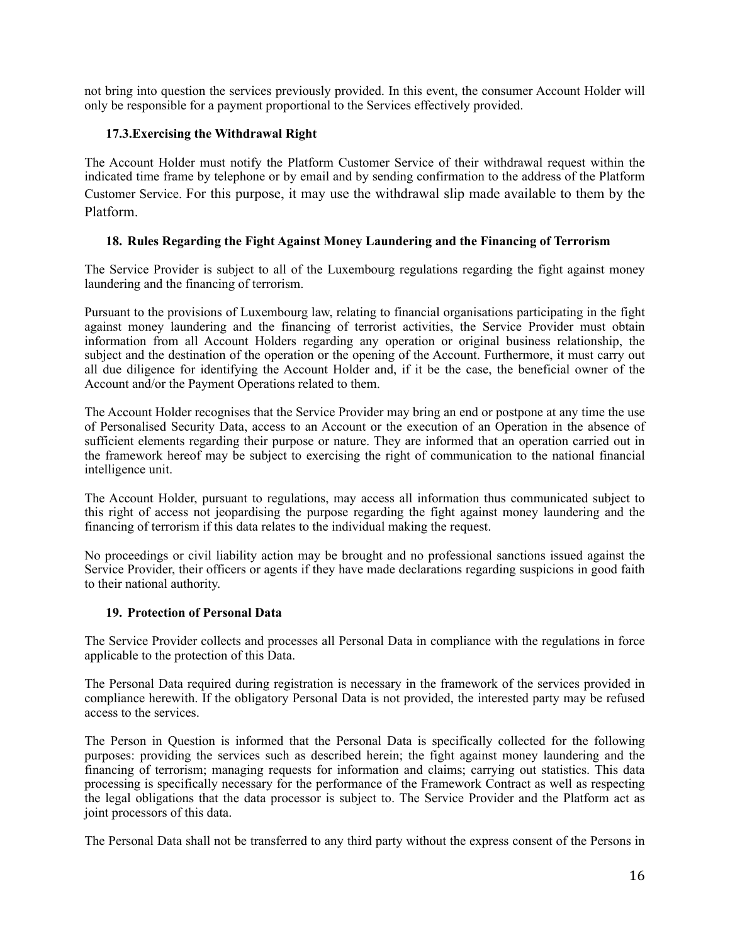not bring into question the services previously provided. In this event, the consumer Account Holder will only be responsible for a payment proportional to the Services effectively provided.

# **17.3.Exercising the Withdrawal Right**

The Account Holder must notify the Platform Customer Service of their withdrawal request within the indicated time frame by telephone or by email and by sending confirmation to the address of the Platform Customer Service. For this purpose, it may use the withdrawal slip made available to them by the Platform.

### **18. Rules Regarding the Fight Against Money Laundering and the Financing of Terrorism**

The Service Provider is subject to all of the Luxembourg regulations regarding the fight against money laundering and the financing of terrorism.

Pursuant to the provisions of Luxembourg law, relating to financial organisations participating in the fight against money laundering and the financing of terrorist activities, the Service Provider must obtain information from all Account Holders regarding any operation or original business relationship, the subject and the destination of the operation or the opening of the Account. Furthermore, it must carry out all due diligence for identifying the Account Holder and, if it be the case, the beneficial owner of the Account and/or the Payment Operations related to them.

The Account Holder recognises that the Service Provider may bring an end or postpone at any time the use of Personalised Security Data, access to an Account or the execution of an Operation in the absence of sufficient elements regarding their purpose or nature. They are informed that an operation carried out in the framework hereof may be subject to exercising the right of communication to the national financial intelligence unit.

The Account Holder, pursuant to regulations, may access all information thus communicated subject to this right of access not jeopardising the purpose regarding the fight against money laundering and the financing of terrorism if this data relates to the individual making the request.

No proceedings or civil liability action may be brought and no professional sanctions issued against the Service Provider, their officers or agents if they have made declarations regarding suspicions in good faith to their national authority.

### **19. Protection of Personal Data**

The Service Provider collects and processes all Personal Data in compliance with the regulations in force applicable to the protection of this Data.

The Personal Data required during registration is necessary in the framework of the services provided in compliance herewith. If the obligatory Personal Data is not provided, the interested party may be refused access to the services.

The Person in Question is informed that the Personal Data is specifically collected for the following purposes: providing the services such as described herein; the fight against money laundering and the financing of terrorism; managing requests for information and claims; carrying out statistics. This data processing is specifically necessary for the performance of the Framework Contract as well as respecting the legal obligations that the data processor is subject to. The Service Provider and the Platform act as joint processors of this data.

The Personal Data shall not be transferred to any third party without the express consent of the Persons in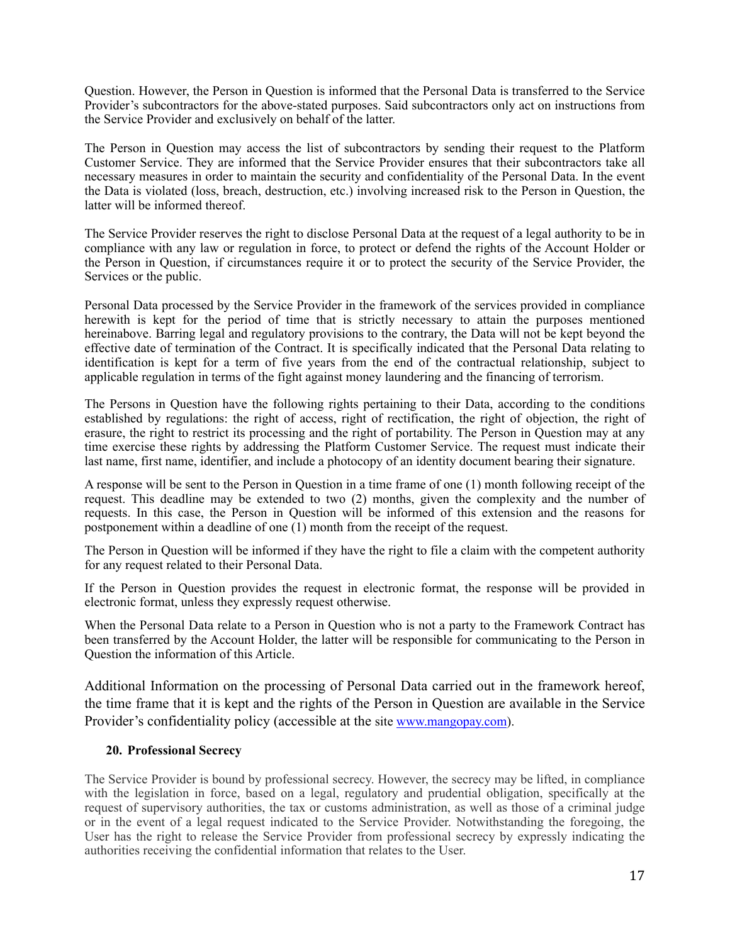Question. However, the Person in Question is informed that the Personal Data is transferred to the Service Provider's subcontractors for the above-stated purposes. Said subcontractors only act on instructions from the Service Provider and exclusively on behalf of the latter.

The Person in Question may access the list of subcontractors by sending their request to the Platform Customer Service. They are informed that the Service Provider ensures that their subcontractors take all necessary measures in order to maintain the security and confidentiality of the Personal Data. In the event the Data is violated (loss, breach, destruction, etc.) involving increased risk to the Person in Question, the latter will be informed thereof.

The Service Provider reserves the right to disclose Personal Data at the request of a legal authority to be in compliance with any law or regulation in force, to protect or defend the rights of the Account Holder or the Person in Question, if circumstances require it or to protect the security of the Service Provider, the Services or the public.

Personal Data processed by the Service Provider in the framework of the services provided in compliance herewith is kept for the period of time that is strictly necessary to attain the purposes mentioned hereinabove. Barring legal and regulatory provisions to the contrary, the Data will not be kept beyond the effective date of termination of the Contract. It is specifically indicated that the Personal Data relating to identification is kept for a term of five years from the end of the contractual relationship, subject to applicable regulation in terms of the fight against money laundering and the financing of terrorism.

The Persons in Question have the following rights pertaining to their Data, according to the conditions established by regulations: the right of access, right of rectification, the right of objection, the right of erasure, the right to restrict its processing and the right of portability. The Person in Question may at any time exercise these rights by addressing the Platform Customer Service. The request must indicate their last name, first name, identifier, and include a photocopy of an identity document bearing their signature.

A response will be sent to the Person in Question in a time frame of one (1) month following receipt of the request. This deadline may be extended to two (2) months, given the complexity and the number of requests. In this case, the Person in Question will be informed of this extension and the reasons for postponement within a deadline of one (1) month from the receipt of the request.

The Person in Question will be informed if they have the right to file a claim with the competent authority for any request related to their Personal Data.

If the Person in Question provides the request in electronic format, the response will be provided in electronic format, unless they expressly request otherwise.

When the Personal Data relate to a Person in Question who is not a party to the Framework Contract has been transferred by the Account Holder, the latter will be responsible for communicating to the Person in Question the information of this Article.

Additional Information on the processing of Personal Data carried out in the framework hereof, the time frame that it is kept and the rights of the Person in Question are available in the Service Provider's confidentiality policy (accessible at the site [www.mangopay.com](http://www.mangopay.com)).

### **20. Professional Secrecy**

The Service Provider is bound by professional secrecy. However, the secrecy may be lifted, in compliance with the legislation in force, based on a legal, regulatory and prudential obligation, specifically at the request of supervisory authorities, the tax or customs administration, as well as those of a criminal judge or in the event of a legal request indicated to the Service Provider. Notwithstanding the foregoing, the User has the right to release the Service Provider from professional secrecy by expressly indicating the authorities receiving the confidential information that relates to the User.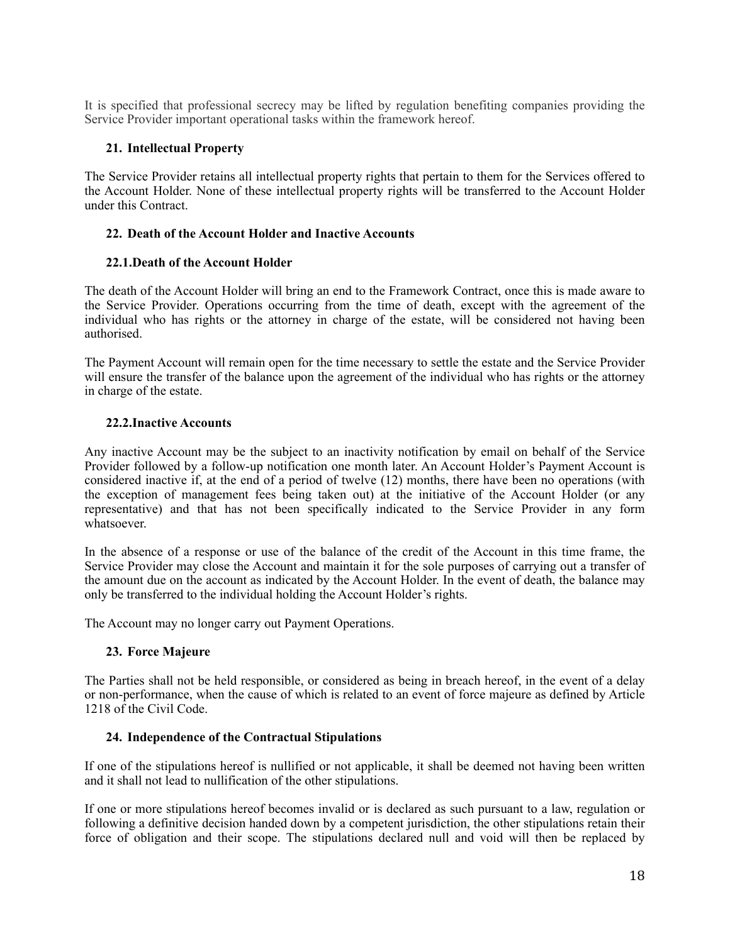It is specified that professional secrecy may be lifted by regulation benefiting companies providing the Service Provider important operational tasks within the framework hereof.

# **21. Intellectual Property**

The Service Provider retains all intellectual property rights that pertain to them for the Services offered to the Account Holder. None of these intellectual property rights will be transferred to the Account Holder under this Contract.

### **22. Death of the Account Holder and Inactive Accounts**

### **22.1.Death of the Account Holder**

The death of the Account Holder will bring an end to the Framework Contract, once this is made aware to the Service Provider. Operations occurring from the time of death, except with the agreement of the individual who has rights or the attorney in charge of the estate, will be considered not having been authorised.

The Payment Account will remain open for the time necessary to settle the estate and the Service Provider will ensure the transfer of the balance upon the agreement of the individual who has rights or the attorney in charge of the estate.

### **22.2.Inactive Accounts**

Any inactive Account may be the subject to an inactivity notification by email on behalf of the Service Provider followed by a follow-up notification one month later. An Account Holder's Payment Account is considered inactive if, at the end of a period of twelve (12) months, there have been no operations (with the exception of management fees being taken out) at the initiative of the Account Holder (or any representative) and that has not been specifically indicated to the Service Provider in any form whatsoever.

In the absence of a response or use of the balance of the credit of the Account in this time frame, the Service Provider may close the Account and maintain it for the sole purposes of carrying out a transfer of the amount due on the account as indicated by the Account Holder. In the event of death, the balance may only be transferred to the individual holding the Account Holder's rights.

The Account may no longer carry out Payment Operations.

### **23. Force Majeure**

The Parties shall not be held responsible, or considered as being in breach hereof, in the event of a delay or non-performance, when the cause of which is related to an event of force majeure as defined by Article 1218 of the Civil Code.

### **24. Independence of the Contractual Stipulations**

If one of the stipulations hereof is nullified or not applicable, it shall be deemed not having been written and it shall not lead to nullification of the other stipulations.

If one or more stipulations hereof becomes invalid or is declared as such pursuant to a law, regulation or following a definitive decision handed down by a competent jurisdiction, the other stipulations retain their force of obligation and their scope. The stipulations declared null and void will then be replaced by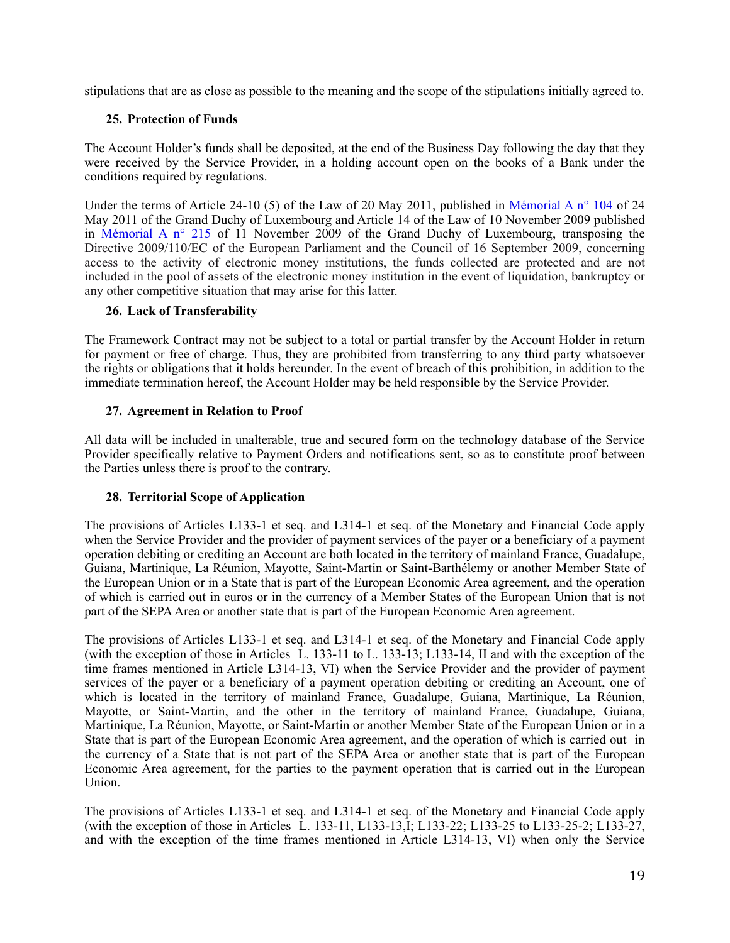stipulations that are as close as possible to the meaning and the scope of the stipulations initially agreed to.

# **25. Protection of Funds**

The Account Holder's funds shall be deposited, at the end of the Business Day following the day that they were received by the Service Provider, in a holding account open on the books of a Bank under the conditions required by regulations.

Under the terms of Article 24-10 (5) of the Law of 20 May 2011, published in Mémorial A n° 104 of 24 May 2011 of the Grand Duchy of Luxembourg and Article 14 of the Law of 10 November 2009 published in Mémorial A  $n^{\circ}$  215 of 11 November 2009 of the Grand Duchy of Luxembourg, transposing the Directive 2009/110/EC of the European Parliament and the Council of 16 September 2009, concerning access to the activity of electronic money institutions, the funds collected are protected and are not included in the pool of assets of the electronic money institution in the event of liquidation, bankruptcy or any other competitive situation that may arise for this latter.

### **26. Lack of Transferability**

The Framework Contract may not be subject to a total or partial transfer by the Account Holder in return for payment or free of charge. Thus, they are prohibited from transferring to any third party whatsoever the rights or obligations that it holds hereunder. In the event of breach of this prohibition, in addition to the immediate termination hereof, the Account Holder may be held responsible by the Service Provider.

# **27. Agreement in Relation to Proof**

All data will be included in unalterable, true and secured form on the technology database of the Service Provider specifically relative to Payment Orders and notifications sent, so as to constitute proof between the Parties unless there is proof to the contrary.

### **28. Territorial Scope of Application**

The provisions of Articles L133-1 et seq. and L314-1 et seq. of the Monetary and Financial Code apply when the Service Provider and the provider of payment services of the payer or a beneficiary of a payment operation debiting or crediting an Account are both located in the territory of mainland France, Guadalupe, Guiana, Martinique, La Réunion, Mayotte, Saint-Martin or Saint-Barthélemy or another Member State of the European Union or in a State that is part of the European Economic Area agreement, and the operation of which is carried out in euros or in the currency of a Member States of the European Union that is not part of the SEPA Area or another state that is part of the European Economic Area agreement.

The provisions of Articles L133-1 et seq. and L314-1 et seq. of the Monetary and Financial Code apply (with the exception of those in Articles  $\hat{L}$ . 133-11 to L. 133-13; L133-14, II and with the exception of the time frames mentioned in Article L314-13, VI) when the Service Provider and the provider of payment services of the payer or a beneficiary of a payment operation debiting or crediting an Account, one of which is located in the territory of mainland France, Guadalupe, Guiana, Martinique, La Réunion, Mayotte, or Saint-Martin, and the other in the territory of mainland France, Guadalupe, Guiana, Martinique, La Réunion, Mayotte, or Saint-Martin or another Member State of the European Union or in a State that is part of the European Economic Area agreement, and the operation of which is carried out in the currency of a State that is not part of the SEPA Area or another state that is part of the European Economic Area agreement, for the parties to the payment operation that is carried out in the European Union.

The provisions of Articles L133-1 et seq. and L314-1 et seq. of the Monetary and Financial Code apply (with the exception of those in Articles L. 133-11, L133-13, I; L133-22; L133-25 to L133-25-2; L133-27, and with the exception of the time frames mentioned in Article L314-13, VI) when only the Service